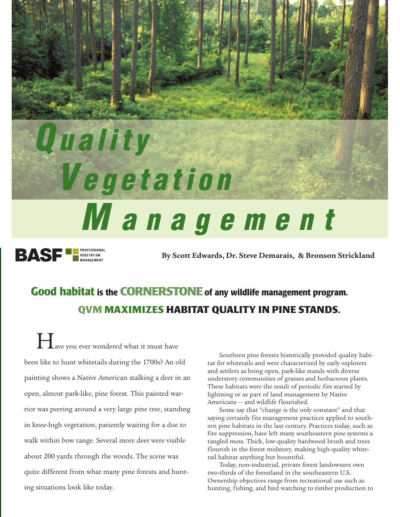# *Q uality V egetation M anagement* **BASF LE PEGETATION**

**By Scott Edwards, Dr. Steve Demarais, & Bronson Strickland**

### **Good habitat is the CORNERSTONEof any wildlife management program. QVM MAXIMIZES HABITAT QUALITY IN PINE STANDS.**

**H**ave you ever wondered what it must have been like to hunt whitetails during the 1700s? An old painting shows a Native American stalking a deer in an open, almost park-like, pine forest. This painted warrior was peering around a very large pine tree, standing in knee-high vegetation, patiently waiting for a doe to walk within bow range. Several more deer were visible about 200 yards through the woods. The scene was quite different from what many pine forests and hunting situations look like today.

Southern pine forests historically provided quality habitat for whitetails and were characterized by early explorers and settlers as being open, park-like stands with diverse understory communities of grasses and herbaceous plants. These habitats were the result of periodic fire started by lightning or as part of land management by Native Americans — and wildlife flourished.

Some say that "change is the only constant" and that saying certainly fits management practices applied to southern pine habitats in the last century. Practices today, such as fire suppression, have left many southeastern pine systems a tangled mess. Thick, low-quality hardwood brush and trees flourish in the forest midstory, making high-quality whitetail habitat anything but bountiful.

Today, non-industrial, private forest landowners own two-thirds of the forestland in the southeastern U.S. Ownership objectives range from recreational use such as hunting, fishing, and bird watching to timber production to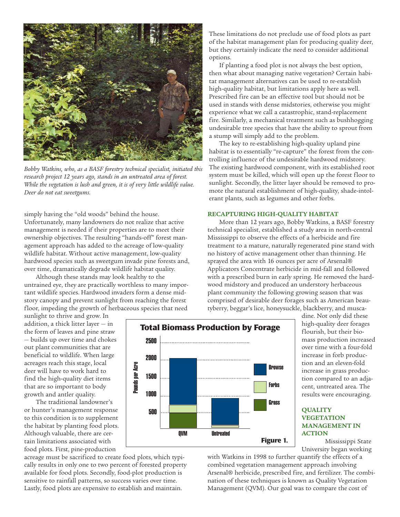

*Bobby Watkins, who, as a BASF forestry technical specialist, initiated this research project 12 years ago, stands in an untreated area of forest. While the vegetation is lush and green, it is of very little wildlife value. Deer do not eat sweetgums.*

simply having the "old woods" behind the house. Unfortunately, many landowners do not realize that active management is needed if their properties are to meet their ownership objectives. The resulting "hands-off" forest management approach has added to the acreage of low-quality wildlife habitat. Without active management, low-quality hardwood species such as sweetgum invade pine forests and, over time, dramatically degrade wildlife habitat quality.

Although these stands may look healthy to the untrained eye, they are practically worthless to many important wildlife species. Hardwood invaders form a dense midstory canopy and prevent sunlight from reaching the forest floor, impeding the growth of herbaceous species that need

sunlight to thrive and grow. In addition, a thick litter layer — in the form of leaves and pine straw — builds up over time and chokes out plant communities that are beneficial to wildlife. When large acreages reach this stage, local deer will have to work hard to find the high-quality diet items that are so important to body growth and antler quality.

The traditional landowner's or hunter's management response to this condition is to supplement the habitat by planting food plots. Although valuable, there are certain limitations associated with food plots. First, pine-production

acreage must be sacrificed to create food plots, which typically results in only one to two percent of forested property available for food plots. Secondly, food-plot production is sensitive to rainfall patterns, so success varies over time. Lastly, food plots are expensive to establish and maintain.



**Figure 1.**

with Watkins in 1998 to further quantify the effects of a combined vegetation management approach involving Arsenal® herbicide, prescribed fire, and fertilizer. The combination of these techniques is known as Quality Vegetation Management (QVM). Our goal was to compare the cost of

These limitations do not preclude use of food plots as part of the habitat management plan for producing quality deer, but they certainly indicate the need to consider additional options.

If planting a food plot is not always the best option, then what about managing native vegetation? Certain habitat management alternatives can be used to re-establish high-quality habitat, but limitations apply here as well. Prescribed fire can be an effective tool but should not be used in stands with dense midstories, otherwise you might experience what we call a catastrophic, stand-replacement fire. Similarly, a mechanical treatment such as bushhogging undesirable tree species that have the ability to sprout from a stump will simply add to the problem.

The key to re-establishing high-quality upland pine habitat is to essentially "re-capture" the forest from the controlling influence of the undesirable hardwood midstory. The existing hardwood component, with its established root system must be killed, which will open up the forest floor to sunlight. Secondly, the litter layer should be removed to promote the natural establishment of high-quality, shade-intolerant plants, such as legumes and other forbs.

#### **RECAPTURING HIGH-QUALITY HABITAT**

More than 12 years ago, Bobby Watkins, a BASF forestry technical specialist, established a study area in north-central Mississippi to observe the effects of a herbicide and fire treatment to a mature, naturally regenerated pine stand with no history of active management other than thinning. He sprayed the area with 16 ounces per acre of Arsenal® Applicators Concentrate herbicide in mid-fall and followed with a prescribed burn in early spring. He removed the hardwood midstory and produced an understory herbaceous plant community the following growing season that was comprised of desirable deer forages such as American beautyberry, beggar's lice, honeysuckle, blackberry, and musca-

> dine. Not only did these high-quality deer forages flourish, but their biomass production increased over time with a four-fold increase in forb production and an eleven-fold increase in grass production compared to an adjacent, untreated area. The results were encouraging.

#### **QUALITY VEGETATION MANAGEMENT IN ACTION**

Mississippi State University began working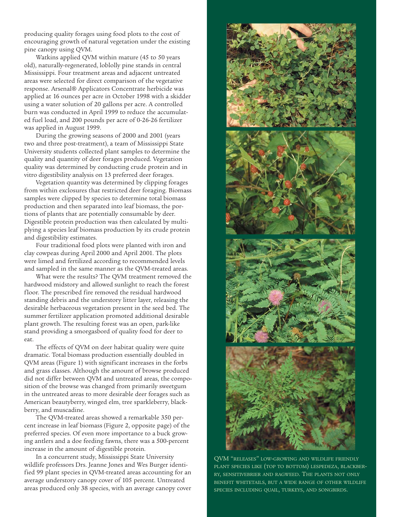producing quality forages using food plots to the cost of encouraging growth of natural vegetation under the existing pine canopy using QVM.

Watkins applied QVM within mature (45 to 50 years old), naturally-regenerated, loblolly pine stands in central Mississippi. Four treatment areas and adjacent untreated areas were selected for direct comparison of the vegetative response. Arsenal® Applicators Concentrate herbicide was applied at 16 ounces per acre in October 1998 with a skidder using a water solution of 20 gallons per acre. A controlled burn was conducted in April 1999 to reduce the accumulated fuel load, and 200 pounds per acre of 0-26-26 fertilizer was applied in August 1999.

During the growing seasons of 2000 and 2001 (years two and three post-treatment), a team of Mississippi State University students collected plant samples to determine the quality and quantity of deer forages produced. Vegetation quality was determined by conducting crude protein and in vitro digestibility analysis on 13 preferred deer forages.

Vegetation quantity was determined by clipping forages from within exclosures that restricted deer foraging. Biomass samples were clipped by species to determine total biomass production and then separated into leaf biomass, the portions of plants that are potentially consumable by deer. Digestible protein production was then calculated by multiplying a species leaf biomass production by its crude protein and digestibility estimates.

Four traditional food plots were planted with iron and clay cowpeas during April 2000 and April 2001. The plots were limed and fertilized according to recommended levels and sampled in the same manner as the QVM-treated areas.

What were the results? The QVM treatment removed the hardwood midstory and allowed sunlight to reach the forest floor. The prescribed fire removed the residual hardwood standing debris and the understory litter layer, releasing the desirable herbaceous vegetation present in the seed bed. The summer fertilizer application promoted additional desirable plant growth. The resulting forest was an open, park-like stand providing a smorgasbord of quality food for deer to eat.

The effects of QVM on deer habitat quality were quite dramatic. Total biomass production essentially doubled in QVM areas (Figure 1) with significant increases in the forbs and grass classes. Although the amount of browse produced did not differ between QVM and untreated areas, the composition of the browse was changed from primarily sweetgum in the untreated areas to more desirable deer forages such as American beautyberry, winged elm, tree sparkleberry, blackberry, and muscadine.

The QVM-treated areas showed a remarkable 350 percent increase in leaf biomass (Figure 2, opposite page) of the preferred species. Of even more importance to a buck growing antlers and a doe feeding fawns, there was a 500-percent increase in the amount of digestible protein.

In a concurrent study, Mississippi State University wildlife professors Drs. Jeanne Jones and Wes Burger identified 99 plant species in QVM-treated areas accounting for an average understory canopy cover of 105 percent. Untreated areas produced only 38 species, with an average canopy cover



QVM "RELEASES" LOW-GROWING AND WILDLIFE FRIENDLY PLANT SPECIES LIKE (TOP TO BOTTOM) LESPEDEZA, BLACKBER-RY, SENSITIVEBRIER AND RAGWEED. THE PLANTS NOT ONLY BENEFIT WHITETAILS, BUT A WIDE RANGE OF OTHER WILDLIFE SPECIES INCLUDING QUAIL, TURKEYS, AND SONGBIRDS.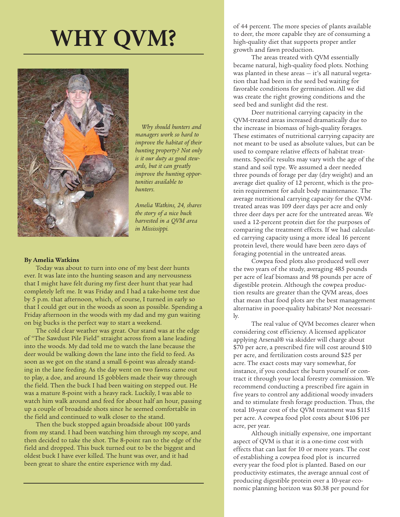## **WHY QVM?**



*Why should hunters and managers work so hard to improve the habitat of their hunting property? Not only is it our duty as good stewards, but it can greatly improve the hunting opportunities available to hunters.* 

*Amelia Watkins, 24, shares the story of a nice buck harvested in a QVM area in Mississippi.* 

#### **By Amelia Watkins**

Today was about to turn into one of my best deer hunts ever. It was late into the hunting season and any nervousness that I might have felt during my first deer hunt that year had completely left me. It was Friday and I had a take-home test due by 5 p.m. that afternoon, which, of course, I turned in early so that I could get out in the woods as soon as possible. Spending a Friday afternoon in the woods with my dad and my gun waiting on big bucks is the perfect way to start a weekend.

The cold clear weather was great. Our stand was at the edge of "The Sawdust Pile Field" straight across from a lane leading into the woods. My dad told me to watch the lane because the deer would be walking down the lane into the field to feed. As soon as we got on the stand a small 6-point was already standing in the lane feeding. As the day went on two fawns came out to play, a doe, and around 15 gobblers made their way through the field. Then the buck I had been waiting on stepped out. He was a mature 8-point with a heavy rack. Luckily, I was able to watch him walk around and feed for about half an hour, passing up a couple of broadside shots since he seemed comfortable in the field and continued to walk closer to the stand.

Then the buck stopped again broadside about 100 yards from my stand. I had been watching him through my scope, and then decided to take the shot. The 8-point ran to the edge of the field and dropped. This buck turned out to be the biggest and oldest buck I have ever killed. The hunt was over, and it had been great to share the entire experience with my dad.

of 44 percent. The more species of plants available to deer, the more capable they are of consuming a high-quality diet that supports proper antler growth and fawn production.

The areas treated with QVM essentially became natural, high-quality food plots. Nothing was planted in these areas  $-$  it's all natural vegetation that had been in the seed bed waiting for favorable conditions for germination. All we did was create the right growing conditions and the seed bed and sunlight did the rest.

Deer nutritional carrying capacity in the QVM-treated areas increased dramatically due to the increase in biomass of high-quality forages. These estimates of nutritional carrying capacity are not meant to be used as absolute values, but can be used to compare relative effects of habitat treatments. Specific results may vary with the age of the stand and soil type. We assumed a deer needed three pounds of forage per day (dry weight) and an average diet quality of 12 percent, which is the protein requirement for adult body maintenance. The average nutritional carrying capacity for the QVMtreated areas was 109 deer days per acre and only three deer days per acre for the untreated areas. We used a 12-percent protein diet for the purposes of comparing the treatment effects. If we had calculated carrying capacity using a more ideal 16 percent protein level, there would have been zero days of foraging potential in the untreated areas.

Cowpea food plots also produced well over the two years of the study, averaging 485 pounds per acre of leaf biomass and 98 pounds per acre of digestible protein. Although the cowpea production results are greater than the QVM areas, does that mean that food plots are the best management alternative in poor-quality habitats? Not necessarily.

The real value of QVM becomes clearer when considering cost efficiency. A licensed applicator applying Arsenal® via skidder will charge about \$70 per acre, a prescribed fire will cost around \$10 per acre, and fertilization costs around \$25 per acre. The exact costs may vary somewhat, for instance, if you conduct the burn yourself or contract it through your local forestry commission. We recommend conducting a prescribed fire again in five years to control any additional woody invaders and to stimulate fresh forage production. Thus, the total 10-year cost of the QVM treatment was \$115 per acre. A cowpea food plot costs about \$106 per acre, per year.

Although initially expensive, one important aspect of QVM is that it is a one-time cost with effects that can last for 10 or more years. The cost of establishing a cowpea food plot is incurred every year the food plot is planted. Based on our productivity estimates, the average annual cost of producing digestible protein over a 10-year economic planning horizon was \$0.38 per pound for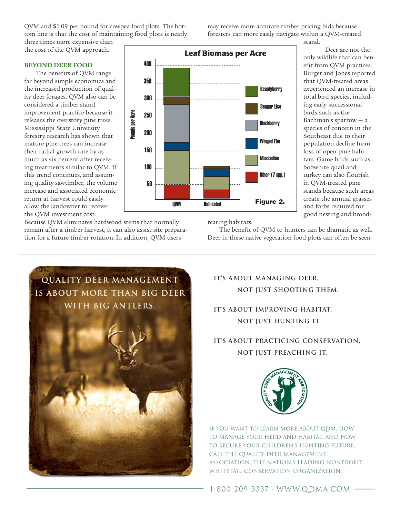Pounds per Acre Pounds per Acre Mississippi State University 200 forestry research has shown that mature pine trees can increase 150

**BEYOND DEER FOOD** The benefits of QVM range far beyond simple economics and the increased production of qual-

ity deer forages. QVM also can be considered a timber stand improvement practice because it releases the overstory pine trees. their radial growth rate by as much as six percent after receiv-

the cost of the QVM approach.

ing treatments similar to QVM. If this trend continues, and assuming quality sawtimber, the volume increase and associated economic return at harvest could easily allow the landowner to recover the QVM investment cost.

Because QVM eliminates hardwood stems that normally remain after a timber harvest, it can also assist site preparation for a future timber rotation. In addition, QVM users

rearing habitats.

. . . . .

. . . . . .

QVM Untreated

-------

50

100

250

300

350

400

**Leaf Biomass per Acre**

..............................

-------------------------

The benefit of QVM to hunters can be dramatic as well. Deer in these native vegetation food plots can often be seen

**Figure 2.**

**Beautyberry** 

Beggar Lice

**Blackberry** 

Winged Elm

Muscadine

Other (7 spp.)

stand.

Deer are not the only wildlife that can benefit from QVM practices. Burger and Jones reported that QVM-treated areas experienced an increase in total bird species, including early successional birds such as the Bachman's sparrow — a species of concern in the Southeast due to their population decline from loss of open pine habitats. Game birds such as bobwhite quail and turkey can also flourish in QVM-treated pine stands because such areas create the annual grasses and forbs required for good nesting and brood-

QVM and \$1.09 per pound for cowpea food plots. The bottom line is that the cost of maintaining food plots is nearly three times more expensive than

may receive more accurate timber pricing bids because foresters can more easily navigate within a QVM-treated